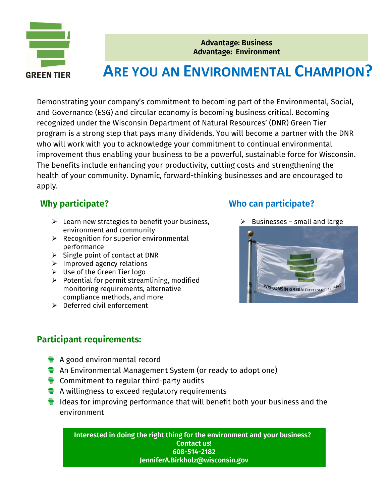

**Advantage: Business Advantage: Environment**

# **ARE YOU AN ENVIRONMENTAL CHAMPION?**

Demonstrating your company's commitment to becoming part of the Environmental, Social, and Governance (ESG) and circular economy is becoming business critical. Becoming recognized under the Wisconsin Department of Natural Resources' (DNR) Green Tier program is a strong step that pays many dividends. You will become a partner with the DNR who will work with you to acknowledge your commitment to continual environmental improvement thus enabling your business to be a powerful, sustainable force for Wisconsin. The benefits include enhancing your productivity, cutting costs and strengthening the health of your community. Dynamic, forward-thinking businesses and are encouraged to apply.

### **Why participate?**

- $\triangleright$  Learn new strategies to benefit your business, environment and community
- $\triangleright$  Recognition for superior environmental performance
- $\triangleright$  Single point of contact at DNR
- ➢ Improved agency relations
- ➢ Use of the Green Tier logo
- $\triangleright$  Potential for permit streamlining, modified monitoring requirements, alternative compliance methods, and more
- ➢ Deferred civil enforcement

### **Who can participate?**

 $\triangleright$  Businesses – small and large



### **Participant requirements:**

- **A** good environmental record
- **E** An Environmental Management System (or ready to adopt one)
- $\frac{1}{2}$  Commitment to regular third-party audits
- **E** A willingness to exceed regulatory requirements
- **I** Ideas for improving performance that will benefit both your business and the environment

**Interested in doing the right thing for the environment and your business? Contact us! 608-514-2182 JenniferA.Birkholz@wisconsin.gov**